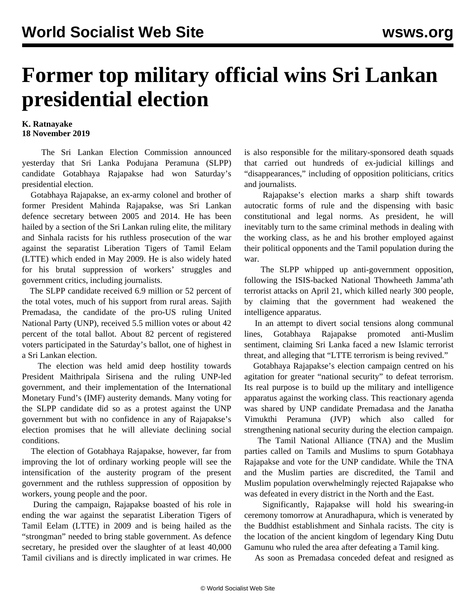## **Former top military official wins Sri Lankan presidential election**

## **K. Ratnayake 18 November 2019**

 The Sri Lankan Election Commission announced yesterday that Sri Lanka Podujana Peramuna (SLPP) candidate Gotabhaya Rajapakse had won Saturday's presidential election.

 Gotabhaya Rajapakse, an ex-army colonel and brother of former President Mahinda Rajapakse, was Sri Lankan defence secretary between 2005 and 2014. He has been hailed by a section of the Sri Lankan ruling elite, the military and Sinhala racists for his ruthless prosecution of the war against the separatist Liberation Tigers of Tamil Eelam (LTTE) which ended in May 2009. He is also widely hated for his brutal suppression of workers' struggles and government critics, including journalists.

 The SLPP candidate received 6.9 million or 52 percent of the total votes, much of his support from rural areas. Sajith Premadasa, the candidate of the pro-US ruling United National Party (UNP), received 5.5 million votes or about 42 percent of the total ballot. About 82 percent of registered voters participated in the Saturday's ballot, one of highest in a Sri Lankan election.

 The election was held amid deep hostility towards President Maithripala Sirisena and the ruling UNP-led government, and their implementation of the International Monetary Fund's (IMF) austerity demands. Many voting for the SLPP candidate did so as a protest against the UNP government but with no confidence in any of Rajapakse's election promises that he will alleviate declining social conditions.

 The election of Gotabhaya Rajapakse, however, far from improving the lot of ordinary working people will see the intensification of the austerity program of the present government and the ruthless suppression of opposition by workers, young people and the poor.

 During the campaign, Rajapakse boasted of his role in ending the war against the separatist Liberation Tigers of Tamil Eelam (LTTE) in 2009 and is being hailed as the "strongman" needed to bring stable government. As defence secretary, he presided over the slaughter of at least 40,000 Tamil civilians and is directly implicated in war crimes. He is also responsible for the military-sponsored death squads that carried out hundreds of ex-judicial killings and "disappearances," including of opposition politicians, critics and journalists.

 Rajapakse's election marks a sharp shift towards autocratic forms of rule and the dispensing with basic constitutional and legal norms. As president, he will inevitably turn to the same criminal methods in dealing with the working class, as he and his brother employed against their political opponents and the Tamil population during the war.

 The SLPP whipped up anti-government opposition, following the ISIS-backed National Thowheeth Jamma'ath terrorist attacks on April 21, which killed nearly 300 people, by claiming that the government had weakened the intelligence apparatus.

 In an attempt to divert social tensions along communal lines, Gotabhaya Rajapakse promoted anti-Muslim sentiment, claiming Sri Lanka faced a new Islamic terrorist threat, and alleging that "LTTE terrorism is being revived."

 Gotabhaya Rajapakse's election campaign centred on his agitation for greater "national security" to defeat terrorism. Its real purpose is to build up the military and intelligence apparatus against the working class. This reactionary agenda was shared by UNP candidate Premadasa and the Janatha Vimukthi Peramuna (JVP) which also called for strengthening national security during the election campaign.

 The Tamil National Alliance (TNA) and the Muslim parties called on Tamils and Muslims to spurn Gotabhaya Rajapakse and vote for the UNP candidate. While the TNA and the Muslim parties are discredited, the Tamil and Muslim population overwhelmingly rejected Rajapakse who was defeated in every district in the North and the East.

 Significantly, Rajapakse will hold his swearing-in ceremony tomorrow at Anuradhapura, which is venerated by the Buddhist establishment and Sinhala racists. The city is the location of the ancient kingdom of legendary King Dutu Gamunu who ruled the area after defeating a Tamil king.

As soon as Premadasa conceded defeat and resigned as